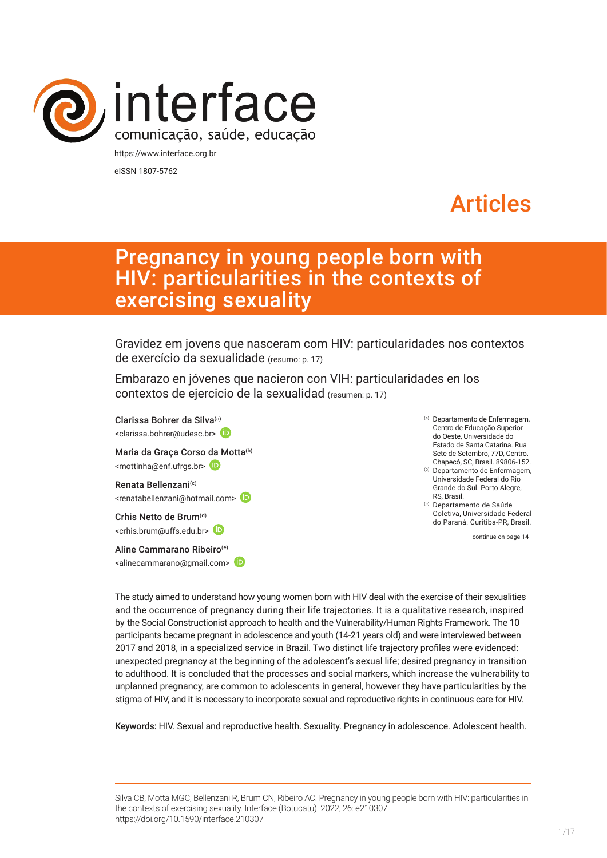

eISSN 1807-5762

# Articles

# Pregnancy in young people born with HIV: particularities in the contexts of exercising sexuality

Gravidez em jovens que nasceram com HIV: particularidades nos contextos de exercício da sexualidade (resumo: p. 17)

Embarazo en jóvenes que nacieron con VIH: particularidades en los contextos de ejercicio de la sexualidad (resumen: p. 17)

Clarissa Bohrer da Silva(a) <clarissa.bohrer@udesc.br> Maria da Graça Corso [da M](https://orcid.org/0000-0002-4335-1084)otta<sup>(b)</sup> <mottinha@enf.ufrgs.br> Renata Bellenzani<sup>(c)</sup> <renatabellenzani@hotmail.com> Crhis Netto de Brum<sup>(d)</sup> <crhis.brum@uffs.edu.br> Aline Cammarano Ribeiro(e) <alinecammarano@gmail.com>

- (a) Departamento de Enfermagem, Centro de Educação Superior do Oeste, Universidade do Estado de Santa Catarina. Rua Sete de Setembro, 77D, Centro. Chapecó, SC, Brasil. 89806-152.
- (b) Departamento de Enfermagem, Universidade Federal do Rio Grande do Sul. Porto Alegre, RS, Brasil.

(c) Departamento de Saúde Coletiva, Universidade Federal do Paraná. Curitiba-PR, Brasil.

continue on page 14

The study aimed to understand how young women born with HIV deal with the exercise of their sexualities and the occurrence of pregnancy during their life trajectories. It is a qualitative research, inspired by the Social Constructionist approach to health and the Vulnerability/Human Rights Framework. The 10 participants became pregnant in adolescence and youth (14-21 years old) and were interviewed between 2017 and 2018, in a specialized service in Brazil. Two distinct life trajectory profiles were evidenced: unexpected pregnancy at the beginning of the adolescent's sexual life; desired pregnancy in transition to adulthood. It is concluded that the processes and social markers, which increase the vulnerability to unplanned pregnancy, are common to adolescents in general, however they have particularities by the stigma of HIV, and it is necessary to incorporate sexual and reproductive rights in continuous care for HIV.

Keywords: HIV. Sexual and reproductive health. Sexuality. Pregnancy in adolescence. Adolescent health.

Silva CB, Motta MGC, Bellenzani R, Brum CN, Ribeiro AC. Pregnancy in young people born with HIV: particularities in the contexts of exercising sexuality. Interface (Botucatu). 2022; 26: e210307 [https://](https://10.11606/S1518-787.201805200XXXX)doi.org/10.1590/interface.210307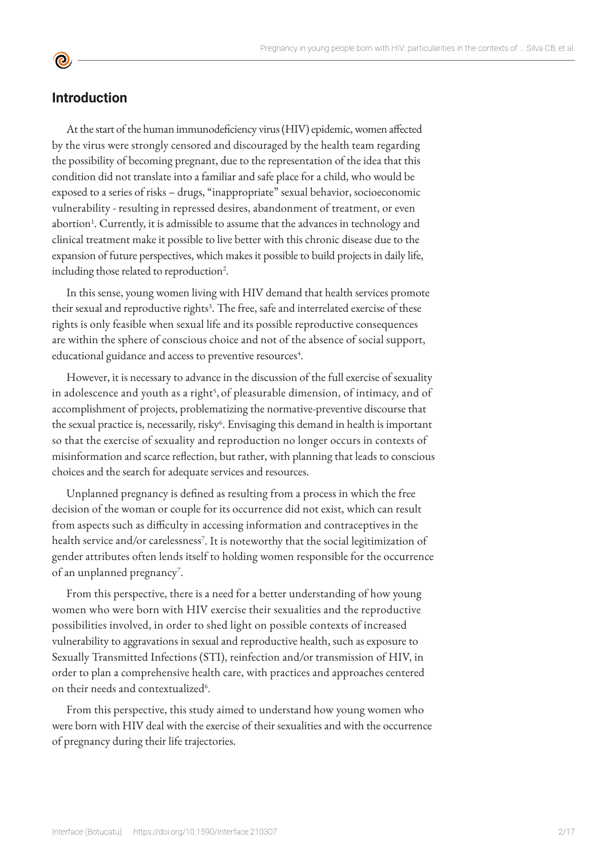# **Introduction**

**©** 

At the start of the human immunodeficiency virus (HIV) epidemic, women affected by the virus were strongly censored and discouraged by the health team regarding the possibility of becoming pregnant, due to the representation of the idea that this condition did not translate into a familiar and safe place for a child, who would be exposed to a series of risks – drugs, "inappropriate" sexual behavior, socioeconomic vulnerability - resulting in repressed desires, abandonment of treatment, or even abortion<sup>1</sup>. Currently, it is admissible to assume that the advances in technology and clinical treatment make it possible to live better with this chronic disease due to the expansion of future perspectives, which makes it possible to build projects in daily life, including those related to reproduction<sup>2</sup>.

In this sense, young women living with HIV demand that health services promote their sexual and reproductive rights<sup>3</sup>. The free, safe and interrelated exercise of these rights is only feasible when sexual life and its possible reproductive consequences are within the sphere of conscious choice and not of the absence of social support, educational guidance and access to preventive resources<sup>4</sup>.

However, it is necessary to advance in the discussion of the full exercise of sexuality in adolescence and youth as a right<sup>5</sup>, of pleasurable dimension, of intimacy, and of accomplishment of projects, problematizing the normative-preventive discourse that the sexual practice is, necessarily, risky<sup>6</sup>. Envisaging this demand in health is important so that the exercise of sexuality and reproduction no longer occurs in contexts of misinformation and scarce reflection, but rather, with planning that leads to conscious choices and the search for adequate services and resources.

Unplanned pregnancy is defined as resulting from a process in which the free decision of the woman or couple for its occurrence did not exist, which can result from aspects such as difficulty in accessing information and contraceptives in the health service and/or carelessness<sup>7</sup>. It is noteworthy that the social legitimization of gender attributes often lends itself to holding women responsible for the occurrence of an unplanned pregnancy<sup>7</sup>.

From this perspective, there is a need for a better understanding of how young women who were born with HIV exercise their sexualities and the reproductive possibilities involved, in order to shed light on possible contexts of increased vulnerability to aggravations in sexual and reproductive health, such as exposure to Sexually Transmitted Infections (STI), reinfection and/or transmission of HIV, in order to plan a comprehensive health care, with practices and approaches centered on their needs and contextualized<sup>6</sup>.

From this perspective, this study aimed to understand how young women who were born with HIV deal with the exercise of their sexualities and with the occurrence of pregnancy during their life trajectories.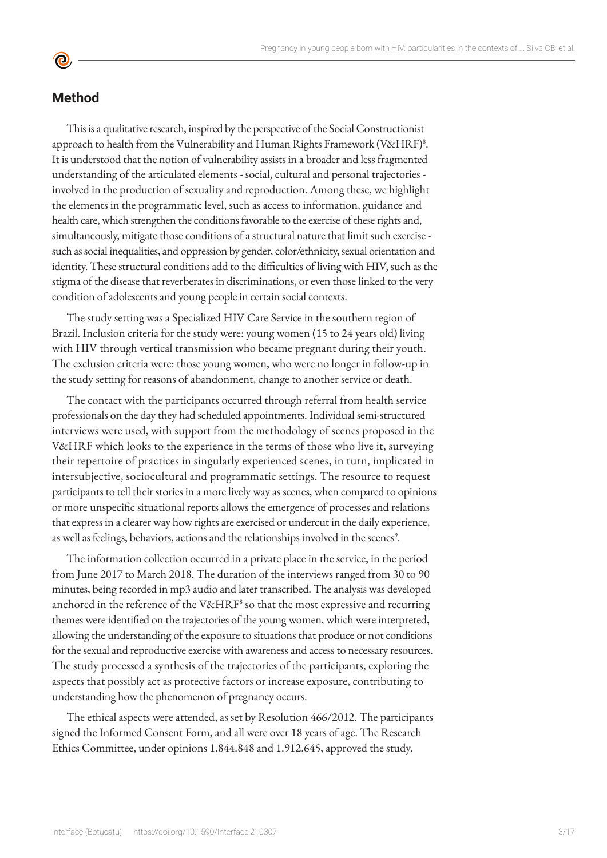# **Method**

**©** 

This is a qualitative research, inspired by the perspective of the Social Constructionist approach to health from the Vulnerability and Human Rights Framework (V&HRF)<sup>8</sup>. It is understood that the notion of vulnerability assists in a broader and less fragmented understanding of the articulated elements - social, cultural and personal trajectories involved in the production of sexuality and reproduction. Among these, we highlight the elements in the programmatic level, such as access to information, guidance and health care, which strengthen the conditions favorable to the exercise of these rights and, simultaneously, mitigate those conditions of a structural nature that limit such exercise such as social inequalities, and oppression by gender, color/ethnicity, sexual orientation and identity. These structural conditions add to the difficulties of living with HIV, such as the stigma of the disease that reverberates in discriminations, or even those linked to the very condition of adolescents and young people in certain social contexts.

The study setting was a Specialized HIV Care Service in the southern region of Brazil. Inclusion criteria for the study were: young women (15 to 24 years old) living with HIV through vertical transmission who became pregnant during their youth. The exclusion criteria were: those young women, who were no longer in follow-up in the study setting for reasons of abandonment, change to another service or death.

The contact with the participants occurred through referral from health service professionals on the day they had scheduled appointments. Individual semi-structured interviews were used, with support from the methodology of scenes proposed in the V&HRF which looks to the experience in the terms of those who live it, surveying their repertoire of practices in singularly experienced scenes, in turn, implicated in intersubjective, sociocultural and programmatic settings. The resource to request participants to tell their stories in a more lively way as scenes, when compared to opinions or more unspecific situational reports allows the emergence of processes and relations that express in a clearer way how rights are exercised or undercut in the daily experience, as well as feelings, behaviors, actions and the relationships involved in the scenes<sup>9</sup>.

The information collection occurred in a private place in the service, in the period from June 2017 to March 2018. The duration of the interviews ranged from 30 to 90 minutes, being recorded in mp3 audio and later transcribed. The analysis was developed anchored in the reference of the  $V\&HRF^8$  so that the most expressive and recurring themes were identified on the trajectories of the young women, which were interpreted, allowing the understanding of the exposure to situations that produce or not conditions for the sexual and reproductive exercise with awareness and access to necessary resources. The study processed a synthesis of the trajectories of the participants, exploring the aspects that possibly act as protective factors or increase exposure, contributing to understanding how the phenomenon of pregnancy occurs.

The ethical aspects were attended, as set by Resolution 466/2012. The participants signed the Informed Consent Form, and all were over 18 years of age. The Research Ethics Committee, under opinions 1.844.848 and 1.912.645, approved the study.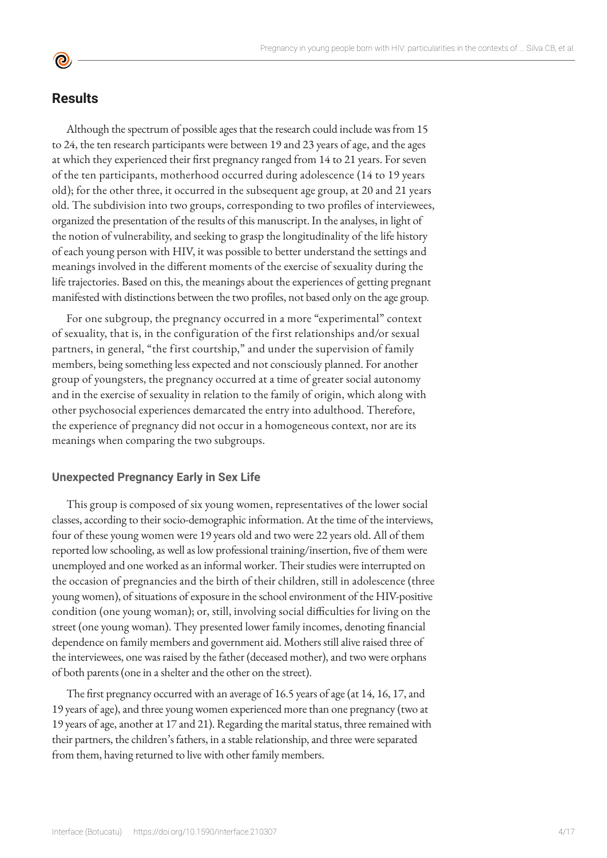# **Results**

**©** 

Although the spectrum of possible ages that the research could include was from 15 to 24, the ten research participants were between 19 and 23 years of age, and the ages at which they experienced their first pregnancy ranged from 14 to 21 years. For seven of the ten participants, motherhood occurred during adolescence (14 to 19 years old); for the other three, it occurred in the subsequent age group, at 20 and 21 years old. The subdivision into two groups, corresponding to two profiles of interviewees, organized the presentation of the results of this manuscript. In the analyses, in light of the notion of vulnerability, and seeking to grasp the longitudinality of the life history of each young person with HIV, it was possible to better understand the settings and meanings involved in the different moments of the exercise of sexuality during the life trajectories. Based on this, the meanings about the experiences of getting pregnant manifested with distinctions between the two profiles, not based only on the age group.

For one subgroup, the pregnancy occurred in a more "experimental" context of sexuality, that is, in the configuration of the first relationships and/or sexual partners, in general, "the first courtship," and under the supervision of family members, being something less expected and not consciously planned. For another group of youngsters, the pregnancy occurred at a time of greater social autonomy and in the exercise of sexuality in relation to the family of origin, which along with other psychosocial experiences demarcated the entry into adulthood. Therefore, the experience of pregnancy did not occur in a homogeneous context, nor are its meanings when comparing the two subgroups.

#### **Unexpected Pregnancy Early in Sex Life**

This group is composed of six young women, representatives of the lower social classes, according to their socio-demographic information. At the time of the interviews, four of these young women were 19 years old and two were 22 years old. All of them reported low schooling, as well as low professional training/insertion, five of them were unemployed and one worked as an informal worker. Their studies were interrupted on the occasion of pregnancies and the birth of their children, still in adolescence (three young women), of situations of exposure in the school environment of the HIV-positive condition (one young woman); or, still, involving social difficulties for living on the street (one young woman). They presented lower family incomes, denoting financial dependence on family members and government aid. Mothers still alive raised three of the interviewees, one was raised by the father (deceased mother), and two were orphans of both parents (one in a shelter and the other on the street).

The first pregnancy occurred with an average of 16.5 years of age (at 14, 16, 17, and 19 years of age), and three young women experienced more than one pregnancy (two at 19 years of age, another at 17 and 21). Regarding the marital status, three remained with their partners, the children's fathers, in a stable relationship, and three were separated from them, having returned to live with other family members.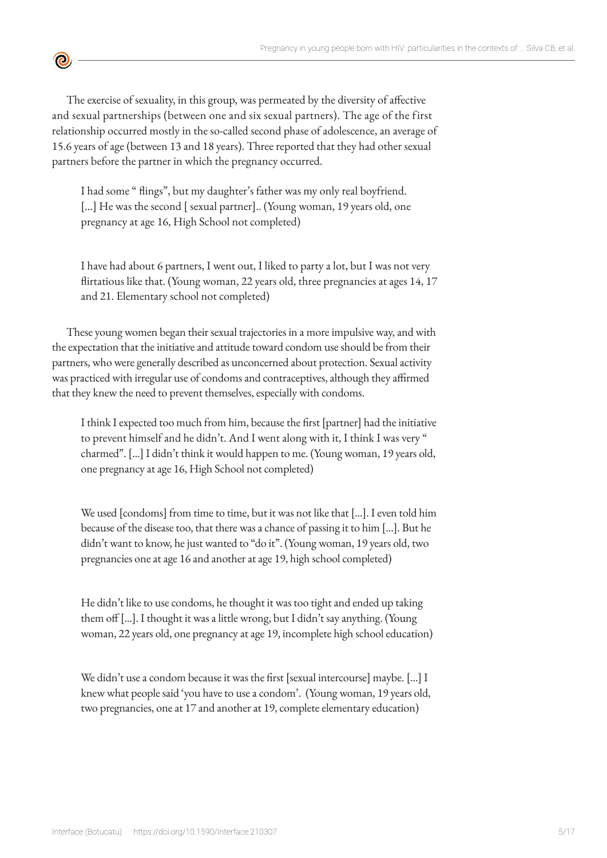

The exercise of sexuality, in this group, was permeated by the diversity of affective and sexual partnerships (between one and six sexual partners). The age of the first relationship occurred mostly in the so-called second phase of adolescence, an average of 15.6 years of age (between 13 and 18 years). Three reported that they had other sexual partners before the partner in which the pregnancy occurred.

I had some " flings", but my daughter's father was my only real boyfriend. [...] He was the second [ sexual partner].. (Young woman, 19 years old, one pregnancy at age 16, High School not completed)

I have had about 6 partners, I went out, I liked to party a lot, but I was not very flirtatious like that. (Young woman, 22 years old, three pregnancies at ages 14, 17 and 21. Elementary school not completed)

These young women began their sexual trajectories in a more impulsive way, and with the expectation that the initiative and attitude toward condom use should be from their partners, who were generally described as unconcerned about protection. Sexual activity was practiced with irregular use of condoms and contraceptives, although they affirmed that they knew the need to prevent themselves, especially with condoms.

I think I expected too much from him, because the first [partner] had the initiative to prevent himself and he didn't. And I went along with it, I think I was very " charmed". [...] I didn't think it would happen to me. (Young woman, 19 years old, one pregnancy at age 16, High School not completed)

We used [condoms] from time to time, but it was not like that [...]. I even told him because of the disease too, that there was a chance of passing it to him [...]. But he didn't want to know, he just wanted to "do it". (Young woman, 19 years old, two pregnancies one at age 16 and another at age 19, high school completed)

He didn't like to use condoms, he thought it was too tight and ended up taking them off [...]. I thought it was a little wrong, but I didn't say anything. (Young woman, 22 years old, one pregnancy at age 19, incomplete high school education)

We didn't use a condom because it was the first [sexual intercourse] maybe. [...] I knew what people said 'you have to use a condom'. (Young woman, 19 years old, two pregnancies, one at 17 and another at 19, complete elementary education)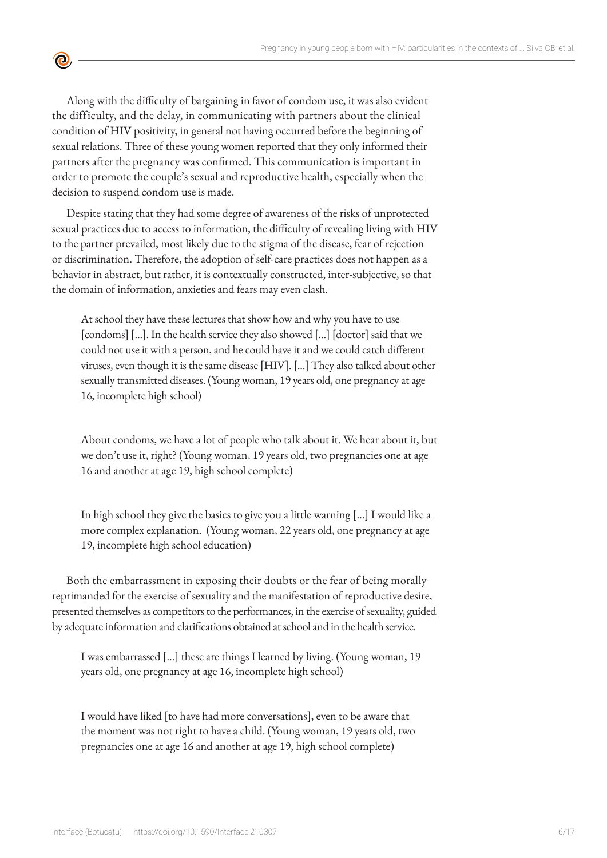Along with the difficulty of bargaining in favor of condom use, it was also evident the difficulty, and the delay, in communicating with partners about the clinical condition of HIV positivity, in general not having occurred before the beginning of sexual relations. Three of these young women reported that they only informed their partners after the pregnancy was confirmed. This communication is important in order to promote the couple's sexual and reproductive health, especially when the decision to suspend condom use is made.

 $\bullet$ 

Despite stating that they had some degree of awareness of the risks of unprotected sexual practices due to access to information, the difficulty of revealing living with HIV to the partner prevailed, most likely due to the stigma of the disease, fear of rejection or discrimination. Therefore, the adoption of self-care practices does not happen as a behavior in abstract, but rather, it is contextually constructed, inter-subjective, so that the domain of information, anxieties and fears may even clash.

At school they have these lectures that show how and why you have to use [condoms] [...]. In the health service they also showed [...] [doctor] said that we could not use it with a person, and he could have it and we could catch different viruses, even though it is the same disease [HIV]. [...] They also talked about other sexually transmitted diseases. (Young woman, 19 years old, one pregnancy at age 16, incomplete high school)

About condoms, we have a lot of people who talk about it. We hear about it, but we don't use it, right? (Young woman, 19 years old, two pregnancies one at age 16 and another at age 19, high school complete)

In high school they give the basics to give you a little warning [...] I would like a more complex explanation. (Young woman, 22 years old, one pregnancy at age 19, incomplete high school education)

Both the embarrassment in exposing their doubts or the fear of being morally reprimanded for the exercise of sexuality and the manifestation of reproductive desire, presented themselves as competitors to the performances, in the exercise of sexuality, guided by adequate information and clarifications obtained at school and in the health service.

I was embarrassed [...] these are things I learned by living. (Young woman, 19 years old, one pregnancy at age 16, incomplete high school)

I would have liked [to have had more conversations], even to be aware that the moment was not right to have a child. (Young woman, 19 years old, two pregnancies one at age 16 and another at age 19, high school complete)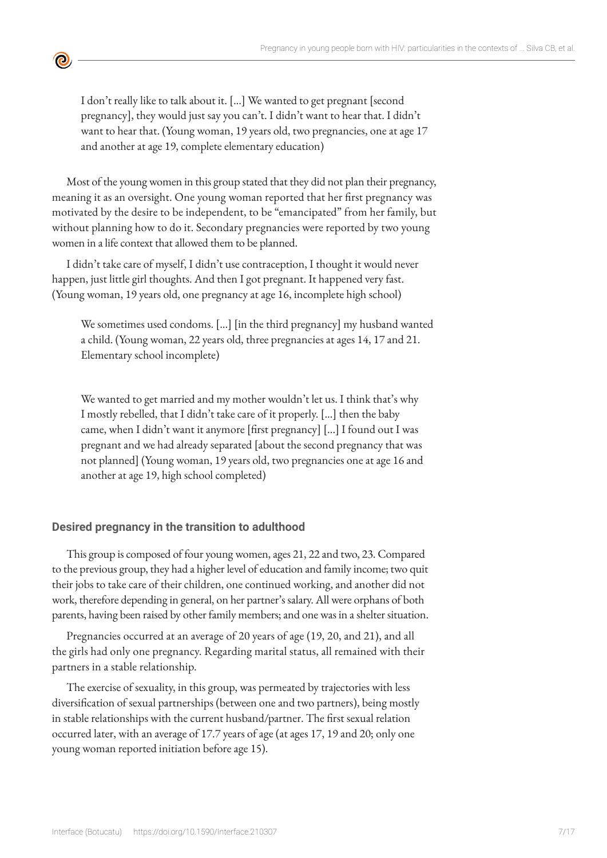I don't really like to talk about it. [...] We wanted to get pregnant [second pregnancy], they would just say you can't. I didn't want to hear that. I didn't want to hear that. (Young woman, 19 years old, two pregnancies, one at age 17 and another at age 19, complete elementary education)

<u>ල</u>

Most of the young women in this group stated that they did not plan their pregnancy, meaning it as an oversight. One young woman reported that her first pregnancy was motivated by the desire to be independent, to be "emancipated" from her family, but without planning how to do it. Secondary pregnancies were reported by two young women in a life context that allowed them to be planned.

I didn't take care of myself, I didn't use contraception, I thought it would never happen, just little girl thoughts. And then I got pregnant. It happened very fast. (Young woman, 19 years old, one pregnancy at age 16, incomplete high school)

We sometimes used condoms. [...] [in the third pregnancy] my husband wanted a child. (Young woman, 22 years old, three pregnancies at ages 14, 17 and 21. Elementary school incomplete)

We wanted to get married and my mother wouldn't let us. I think that's why I mostly rebelled, that I didn't take care of it properly. [...] then the baby came, when I didn't want it anymore [first pregnancy] [...] I found out I was pregnant and we had already separated [about the second pregnancy that was not planned] (Young woman, 19 years old, two pregnancies one at age 16 and another at age 19, high school completed)

#### **Desired pregnancy in the transition to adulthood**

This group is composed of four young women, ages 21, 22 and two, 23. Compared to the previous group, they had a higher level of education and family income; two quit their jobs to take care of their children, one continued working, and another did not work, therefore depending in general, on her partner's salary. All were orphans of both parents, having been raised by other family members; and one was in a shelter situation.

Pregnancies occurred at an average of 20 years of age (19, 20, and 21), and all the girls had only one pregnancy. Regarding marital status, all remained with their partners in a stable relationship.

The exercise of sexuality, in this group, was permeated by trajectories with less diversification of sexual partnerships (between one and two partners), being mostly in stable relationships with the current husband/partner. The first sexual relation occurred later, with an average of 17.7 years of age (at ages 17, 19 and 20; only one young woman reported initiation before age 15).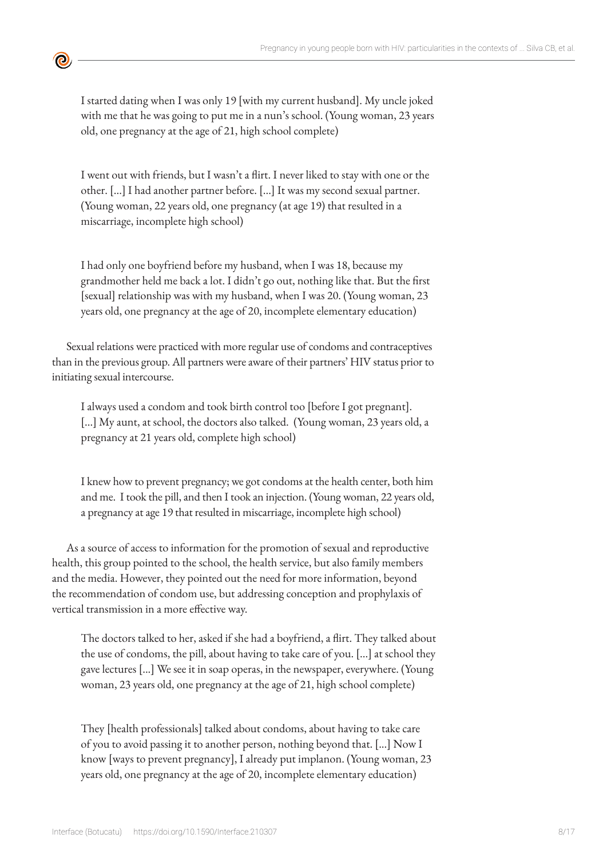

I started dating when I was only 19 [with my current husband]. My uncle joked with me that he was going to put me in a nun's school. (Young woman, 23 years old, one pregnancy at the age of 21, high school complete)

I went out with friends, but I wasn't a flirt. I never liked to stay with one or the other. [...] I had another partner before. [...] It was my second sexual partner. (Young woman, 22 years old, one pregnancy (at age 19) that resulted in a miscarriage, incomplete high school)

I had only one boyfriend before my husband, when I was 18, because my grandmother held me back a lot. I didn't go out, nothing like that. But the first [sexual] relationship was with my husband, when I was 20. (Young woman, 23 years old, one pregnancy at the age of 20, incomplete elementary education)

Sexual relations were practiced with more regular use of condoms and contraceptives than in the previous group. All partners were aware of their partners' HIV status prior to initiating sexual intercourse.

I always used a condom and took birth control too [before I got pregnant]. [...] My aunt, at school, the doctors also talked. (Young woman, 23 years old, a pregnancy at 21 years old, complete high school)

I knew how to prevent pregnancy; we got condoms at the health center, both him and me. I took the pill, and then I took an injection. (Young woman, 22 years old, a pregnancy at age 19 that resulted in miscarriage, incomplete high school)

As a source of access to information for the promotion of sexual and reproductive health, this group pointed to the school, the health service, but also family members and the media. However, they pointed out the need for more information, beyond the recommendation of condom use, but addressing conception and prophylaxis of vertical transmission in a more effective way.

The doctors talked to her, asked if she had a boyfriend, a flirt. They talked about the use of condoms, the pill, about having to take care of you. [...] at school they gave lectures [...] We see it in soap operas, in the newspaper, everywhere. (Young woman, 23 years old, one pregnancy at the age of 21, high school complete)

They [health professionals] talked about condoms, about having to take care of you to avoid passing it to another person, nothing beyond that. [...] Now I know [ways to prevent pregnancy], I already put implanon. (Young woman, 23 years old, one pregnancy at the age of 20, incomplete elementary education)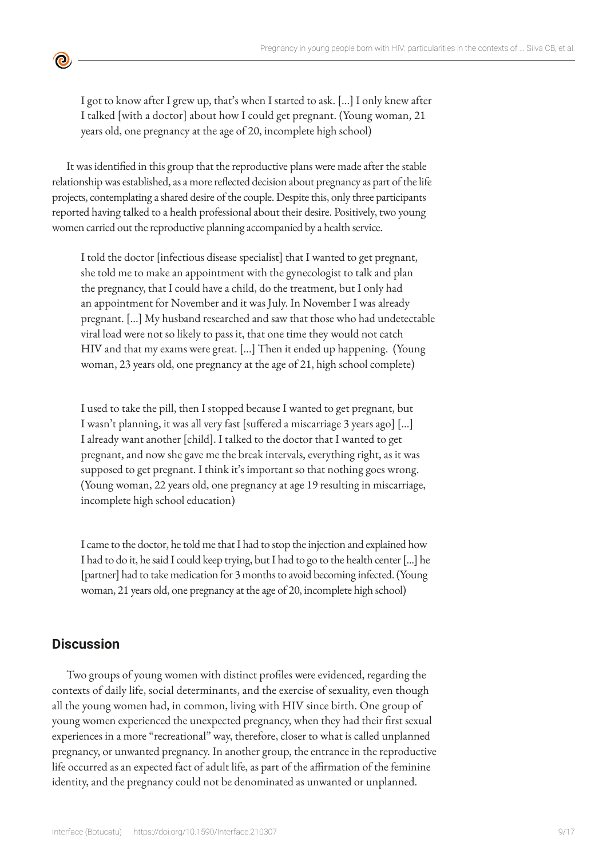I got to know after I grew up, that's when I started to ask. [...] I only knew after I talked [with a doctor] about how I could get pregnant. (Young woman, 21 years old, one pregnancy at the age of 20, incomplete high school)

It was identified in this group that the reproductive plans were made after the stable relationship was established, as a more reflected decision about pregnancy as part of the life projects, contemplating a shared desire of the couple. Despite this, only three participants reported having talked to a health professional about their desire. Positively, two young women carried out the reproductive planning accompanied by a health service.

I told the doctor [infectious disease specialist] that I wanted to get pregnant, she told me to make an appointment with the gynecologist to talk and plan the pregnancy, that I could have a child, do the treatment, but I only had an appointment for November and it was July. In November I was already pregnant. [...] My husband researched and saw that those who had undetectable viral load were not so likely to pass it, that one time they would not catch HIV and that my exams were great. [...] Then it ended up happening. (Young woman, 23 years old, one pregnancy at the age of 21, high school complete)

I used to take the pill, then I stopped because I wanted to get pregnant, but I wasn't planning, it was all very fast [suffered a miscarriage 3 years ago] [...] I already want another [child]. I talked to the doctor that I wanted to get pregnant, and now she gave me the break intervals, everything right, as it was supposed to get pregnant. I think it's important so that nothing goes wrong. (Young woman, 22 years old, one pregnancy at age 19 resulting in miscarriage, incomplete high school education)

I came to the doctor, he told me that I had to stop the injection and explained how I had to do it, he said I could keep trying, but I had to go to the health center [...] he [partner] had to take medication for 3 months to avoid becoming infected. (Young woman, 21 years old, one pregnancy at the age of 20, incomplete high school)

# **Discussion**

 $\bullet$ 

Two groups of young women with distinct profiles were evidenced, regarding the contexts of daily life, social determinants, and the exercise of sexuality, even though all the young women had, in common, living with HIV since birth. One group of young women experienced the unexpected pregnancy, when they had their first sexual experiences in a more "recreational" way, therefore, closer to what is called unplanned pregnancy, or unwanted pregnancy. In another group, the entrance in the reproductive life occurred as an expected fact of adult life, as part of the affirmation of the feminine identity, and the pregnancy could not be denominated as unwanted or unplanned.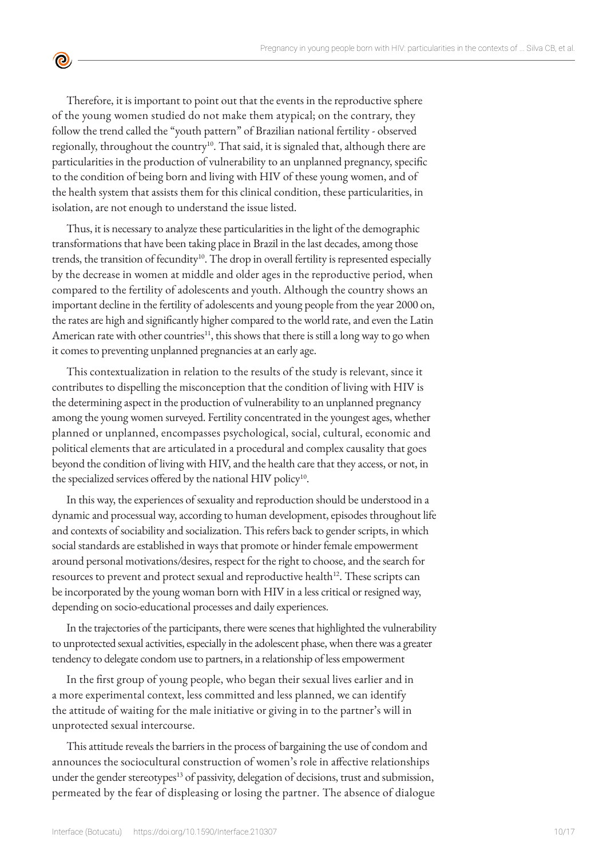Therefore, it is important to point out that the events in the reproductive sphere of the young women studied do not make them atypical; on the contrary, they follow the trend called the "youth pattern" of Brazilian national fertility - observed regionally, throughout the country<sup>10</sup>. That said, it is signaled that, although there are particularities in the production of vulnerability to an unplanned pregnancy, specific to the condition of being born and living with HIV of these young women, and of the health system that assists them for this clinical condition, these particularities, in isolation, are not enough to understand the issue listed.

 $\bullet$ 

Thus, it is necessary to analyze these particularities in the light of the demographic transformations that have been taking place in Brazil in the last decades, among those trends, the transition of fecundity<sup>10</sup>. The drop in overall fertility is represented especially by the decrease in women at middle and older ages in the reproductive period, when compared to the fertility of adolescents and youth. Although the country shows an important decline in the fertility of adolescents and young people from the year 2000 on, the rates are high and significantly higher compared to the world rate, and even the Latin American rate with other countries<sup>11</sup>, this shows that there is still a long way to go when it comes to preventing unplanned pregnancies at an early age.

This contextualization in relation to the results of the study is relevant, since it contributes to dispelling the misconception that the condition of living with HIV is the determining aspect in the production of vulnerability to an unplanned pregnancy among the young women surveyed. Fertility concentrated in the youngest ages, whether planned or unplanned, encompasses psychological, social, cultural, economic and political elements that are articulated in a procedural and complex causality that goes beyond the condition of living with HIV, and the health care that they access, or not, in the specialized services offered by the national HIV policy<sup>10</sup>.

In this way, the experiences of sexuality and reproduction should be understood in a dynamic and processual way, according to human development, episodes throughout life and contexts of sociability and socialization. This refers back to gender scripts, in which social standards are established in ways that promote or hinder female empowerment around personal motivations/desires, respect for the right to choose, and the search for resources to prevent and protect sexual and reproductive health<sup>12</sup>. These scripts can be incorporated by the young woman born with HIV in a less critical or resigned way, depending on socio-educational processes and daily experiences.

In the trajectories of the participants, there were scenes that highlighted the vulnerability to unprotected sexual activities, especially in the adolescent phase, when there was a greater tendency to delegate condom use to partners, in a relationship of less empowerment

In the first group of young people, who began their sexual lives earlier and in a more experimental context, less committed and less planned, we can identify the attitude of waiting for the male initiative or giving in to the partner's will in unprotected sexual intercourse.

This attitude reveals the barriers in the process of bargaining the use of condom and announces the sociocultural construction of women's role in affective relationships under the gender stereotypes<sup>13</sup> of passivity, delegation of decisions, trust and submission, permeated by the fear of displeasing or losing the partner. The absence of dialogue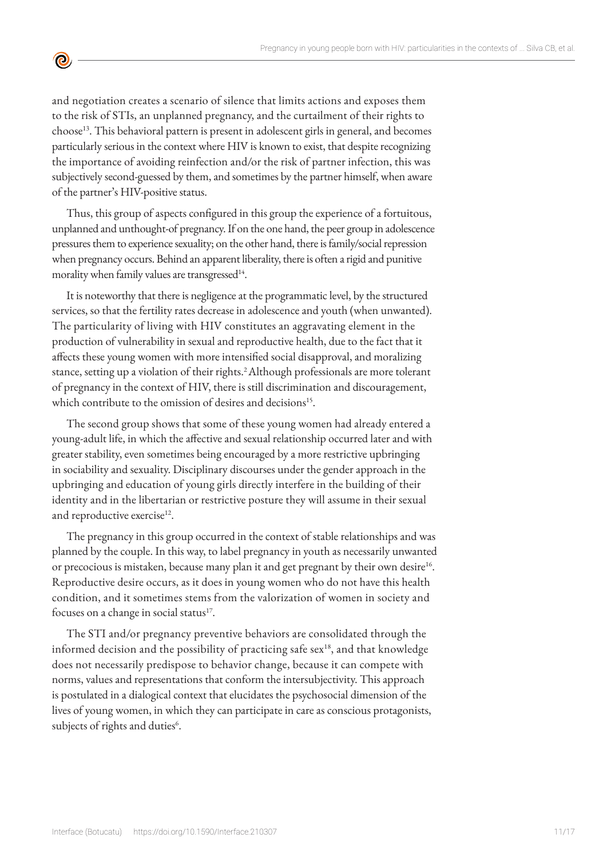and negotiation creates a scenario of silence that limits actions and exposes them to the risk of STIs, an unplanned pregnancy, and the curtailment of their rights to choose<sup>13</sup>. This behavioral pattern is present in adolescent girls in general, and becomes particularly serious in the context where HIV is known to exist, that despite recognizing the importance of avoiding reinfection and/or the risk of partner infection, this was subjectively second-guessed by them, and sometimes by the partner himself, when aware of the partner's HIV-positive status.

 $\bullet$ 

Thus, this group of aspects configured in this group the experience of a fortuitous, unplanned and unthought-of pregnancy. If on the one hand, the peer group in adolescence pressures them to experience sexuality; on the other hand, there is family/social repression when pregnancy occurs. Behind an apparent liberality, there is often a rigid and punitive morality when family values are transgressed<sup>14</sup>.

It is noteworthy that there is negligence at the programmatic level, by the structured services, so that the fertility rates decrease in adolescence and youth (when unwanted). The particularity of living with HIV constitutes an aggravating element in the production of vulnerability in sexual and reproductive health, due to the fact that it affects these young women with more intensified social disapproval, and moralizing stance, setting up a violation of their rights.<sup>2</sup> Although professionals are more tolerant of pregnancy in the context of HIV, there is still discrimination and discouragement, which contribute to the omission of desires and decisions<sup>15</sup>.

The second group shows that some of these young women had already entered a young-adult life, in which the affective and sexual relationship occurred later and with greater stability, even sometimes being encouraged by a more restrictive upbringing in sociability and sexuality. Disciplinary discourses under the gender approach in the upbringing and education of young girls directly interfere in the building of their identity and in the libertarian or restrictive posture they will assume in their sexual and reproductive exercise<sup>12</sup>.

The pregnancy in this group occurred in the context of stable relationships and was planned by the couple. In this way, to label pregnancy in youth as necessarily unwanted or precocious is mistaken, because many plan it and get pregnant by their own desire<sup>16</sup>. Reproductive desire occurs, as it does in young women who do not have this health condition, and it sometimes stems from the valorization of women in society and focuses on a change in social status<sup>17</sup>.

The STI and/or pregnancy preventive behaviors are consolidated through the informed decision and the possibility of practicing safe sex<sup>18</sup>, and that knowledge does not necessarily predispose to behavior change, because it can compete with norms, values and representations that conform the intersubjectivity. This approach is postulated in a dialogical context that elucidates the psychosocial dimension of the lives of young women, in which they can participate in care as conscious protagonists, subjects of rights and duties<sup>6</sup>.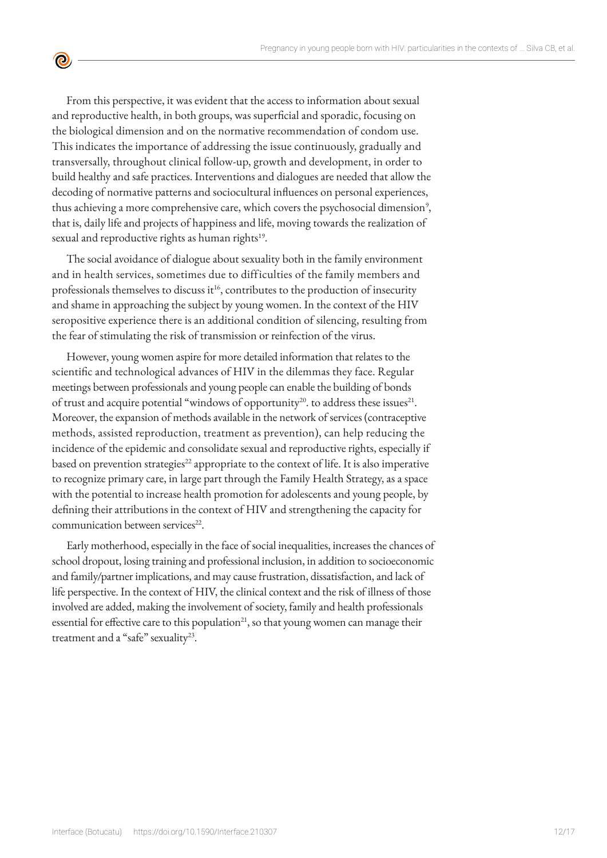From this perspective, it was evident that the access to information about sexual and reproductive health, in both groups, was superficial and sporadic, focusing on the biological dimension and on the normative recommendation of condom use. This indicates the importance of addressing the issue continuously, gradually and transversally, throughout clinical follow-up, growth and development, in order to build healthy and safe practices. Interventions and dialogues are needed that allow the decoding of normative patterns and sociocultural influences on personal experiences, thus achieving a more comprehensive care, which covers the psychosocial dimension<sup>9</sup>, that is, daily life and projects of happiness and life, moving towards the realization of sexual and reproductive rights as human rights<sup>19</sup>.

 $\bullet$ 

The social avoidance of dialogue about sexuality both in the family environment and in health services, sometimes due to difficulties of the family members and professionals themselves to discuss it<sup>16</sup>, contributes to the production of insecurity and shame in approaching the subject by young women. In the context of the HIV seropositive experience there is an additional condition of silencing, resulting from the fear of stimulating the risk of transmission or reinfection of the virus.

However, young women aspire for more detailed information that relates to the scientific and technological advances of HIV in the dilemmas they face. Regular meetings between professionals and young people can enable the building of bonds of trust and acquire potential "windows of opportunity<sup>20</sup>. to address these issues<sup>21</sup>. Moreover, the expansion of methods available in the network of services (contraceptive methods, assisted reproduction, treatment as prevention), can help reducing the incidence of the epidemic and consolidate sexual and reproductive rights, especially if based on prevention strategies<sup>22</sup> appropriate to the context of life. It is also imperative to recognize primary care, in large part through the Family Health Strategy, as a space with the potential to increase health promotion for adolescents and young people, by defining their attributions in the context of HIV and strengthening the capacity for communication between services<sup>22</sup>.

Early motherhood, especially in the face of social inequalities, increases the chances of school dropout, losing training and professional inclusion, in addition to socioeconomic and family/partner implications, and may cause frustration, dissatisfaction, and lack of life perspective. In the context of HIV, the clinical context and the risk of illness of those involved are added, making the involvement of society, family and health professionals essential for effective care to this population<sup>21</sup>, so that young women can manage their treatment and a "safe" sexuality<sup>23</sup>.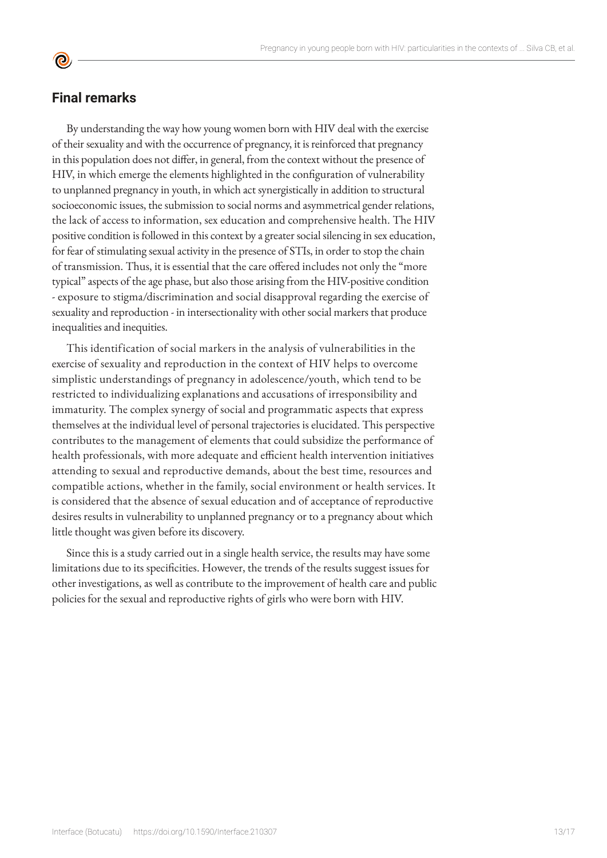# **Final remarks**

**©** 

By understanding the way how young women born with HIV deal with the exercise of their sexuality and with the occurrence of pregnancy, it is reinforced that pregnancy in this population does not differ, in general, from the context without the presence of HIV, in which emerge the elements highlighted in the configuration of vulnerability to unplanned pregnancy in youth, in which act synergistically in addition to structural socioeconomic issues, the submission to social norms and asymmetrical gender relations, the lack of access to information, sex education and comprehensive health. The HIV positive condition is followed in this context by a greater social silencing in sex education, for fear of stimulating sexual activity in the presence of STIs, in order to stop the chain of transmission. Thus, it is essential that the care offered includes not only the "more typical" aspects of the age phase, but also those arising from the HIV-positive condition - exposure to stigma/discrimination and social disapproval regarding the exercise of sexuality and reproduction - in intersectionality with other social markers that produce inequalities and inequities.

This identification of social markers in the analysis of vulnerabilities in the exercise of sexuality and reproduction in the context of HIV helps to overcome simplistic understandings of pregnancy in adolescence/youth, which tend to be restricted to individualizing explanations and accusations of irresponsibility and immaturity. The complex synergy of social and programmatic aspects that express themselves at the individual level of personal trajectories is elucidated. This perspective contributes to the management of elements that could subsidize the performance of health professionals, with more adequate and efficient health intervention initiatives attending to sexual and reproductive demands, about the best time, resources and compatible actions, whether in the family, social environment or health services. It is considered that the absence of sexual education and of acceptance of reproductive desires results in vulnerability to unplanned pregnancy or to a pregnancy about which little thought was given before its discovery.

Since this is a study carried out in a single health service, the results may have some limitations due to its specificities. However, the trends of the results suggest issues for other investigations, as well as contribute to the improvement of health care and public policies for the sexual and reproductive rights of girls who were born with HIV.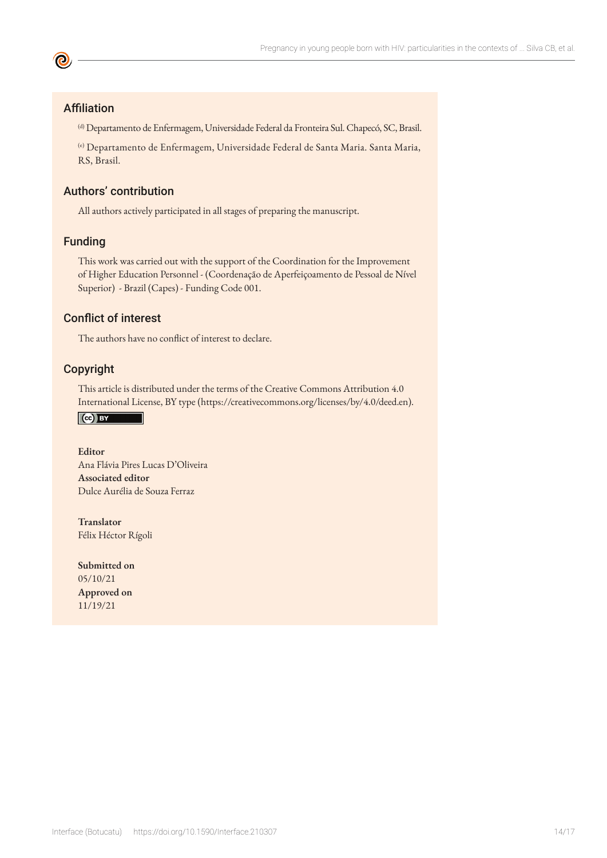# Affiliation

**©** 

(d) Departamento de Enfermagem, Universidade Federal da Fronteira Sul. Chapecó, SC, Brasil.

(e) Departamento de Enfermagem, Universidade Federal de Santa Maria. Santa Maria, RS, Brasil.

# Authors' contribution

All authors actively participated in all stages of preparing the manuscript.

### Funding

This work was carried out with the support of the Coordination for the Improvement of Higher Education Personnel - (Coordenação de Aperfeiçoamento de Pessoal de Nível Superior) - Brazil (Capes) - Funding Code 001.

#### Conflict of interest

The authors have no conflict of interest to declare.

#### Copyright

This article is distributed under the terms of the Creative Commons Attribution 4.0 International License, BY type (https://creativecommons.org/licenses/by/4.0/deed.en).

Ce BY

**Editor** Ana Flávia Pires Lucas D'Oliveira **Associated editor** Dulce Aurélia de Souza Ferraz

**Translator** Félix Héctor Rígoli

**Submitted on** 05/10/21 **Approved on** 11/19/21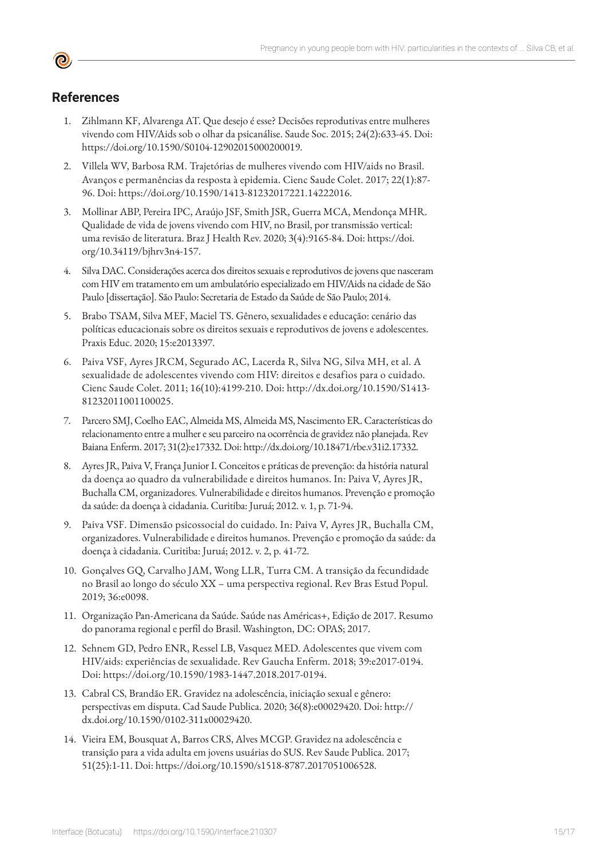# **References**

- 1. Zihlmann KF, Alvarenga AT. Que desejo é esse? Decisões reprodutivas entre mulheres vivendo com HIV/Aids sob o olhar da psicanálise. Saude Soc. 2015; 24(2):633-45. Doi: https://doi.org/10.1590/S0104-12902015000200019.
- 2. Villela WV, Barbosa RM. Trajetórias de mulheres vivendo com HIV/aids no Brasil. Avanços e permanências da resposta à epidemia. Cienc Saude Colet. 2017; 22(1):87- 96. Doi: https://doi.org/10.1590/1413-81232017221.14222016.
- 3. Mollinar ABP, Pereira IPC, Araújo JSF, Smith JSR, Guerra MCA, Mendonça MHR. Qualidade de vida de jovens vivendo com HIV, no Brasil, por transmissão vertical: uma revisão de literatura. Braz J Health Rev. 2020; 3(4):9165-84. Doi: https://doi. org/10.34119/bjhrv3n4-157.
- 4. Silva DAC. Considerações acerca dos direitos sexuais e reprodutivos de jovens que nasceram com HIV em tratamento em um ambulatório especializado em HIV/Aids na cidade de São Paulo [dissertação]. São Paulo: Secretaria de Estado da Saúde de São Paulo; 2014.
- 5. Brabo TSAM, Silva MEF, Maciel TS. Gênero, sexualidades e educação: cenário das políticas educacionais sobre os direitos sexuais e reprodutivos de jovens e adolescentes. Praxis Educ. 2020; 15:e2013397.
- 6. Paiva VSF, Ayres JRCM, Segurado AC, Lacerda R, Silva NG, Silva MH, et al. A sexualidade de adolescentes vivendo com HIV: direitos e desafios para o cuidado. Cienc Saude Colet. 2011; 16(10):4199-210. Doi: http://dx.doi.org/10.1590/S1413- 81232011001100025.
- 7. Parcero SMJ, Coelho EAC, Almeida MS, Almeida MS, Nascimento ER. Características do relacionamento entre a mulher e seu parceiro na ocorrência de gravidez não planejada. Rev Baiana Enferm. 2017; 31(2):e17332. Doi: http://dx.doi.org/10.18471/rbe.v31i2.17332.
- 8. Ayres JR, Paiva V, França Junior I. Conceitos e práticas de prevenção: da história natural da doença ao quadro da vulnerabilidade e direitos humanos. In: Paiva V, Ayres JR, Buchalla CM, organizadores. Vulnerabilidade e direitos humanos. Prevenção e promoção da saúde: da doença à cidadania. Curitiba: Juruá; 2012. v. 1, p. 71-94.
- 9. Paiva VSF. Dimensão psicossocial do cuidado. In: Paiva V, Ayres JR, Buchalla CM, organizadores. Vulnerabilidade e direitos humanos. Prevenção e promoção da saúde: da doença à cidadania. Curitiba: Juruá; 2012. v. 2, p. 41-72.
- 10. Gonçalves GQ, Carvalho JAM, Wong LLR, Turra CM. A transição da fecundidade no Brasil ao longo do século XX – uma perspectiva regional. Rev Bras Estud Popul. 2019; 36:e0098.
- 11. Organização Pan-Americana da Saúde. Saúde nas Américas+, Edição de 2017. Resumo do panorama regional e perfil do Brasil. Washington, DC: OPAS; 2017.
- 12. Sehnem GD, Pedro ENR, Ressel LB, Vasquez MED. Adolescentes que vivem com HIV/aids: experiências de sexualidade. Rev Gaucha Enferm. 2018; 39:e2017-0194. Doi: https://doi.org/10.1590/1983-1447.2018.2017-0194.
- 13. Cabral CS, Brandão ER. Gravidez na adolescência, iniciação sexual e gênero: perspectivas em disputa. Cad Saude Publica. 2020; 36(8):e00029420. Doi: http:// dx.doi.org/10.1590/0102-311x00029420.
- 14. Vieira EM, Bousquat A, Barros CRS, Alves MCGP. Gravidez na adolescência e transição para a vida adulta em jovens usuárias do SUS. Rev Saude Publica. 2017; 51(25):1-11. Doi: https://doi.org/10.1590/s1518-8787.2017051006528.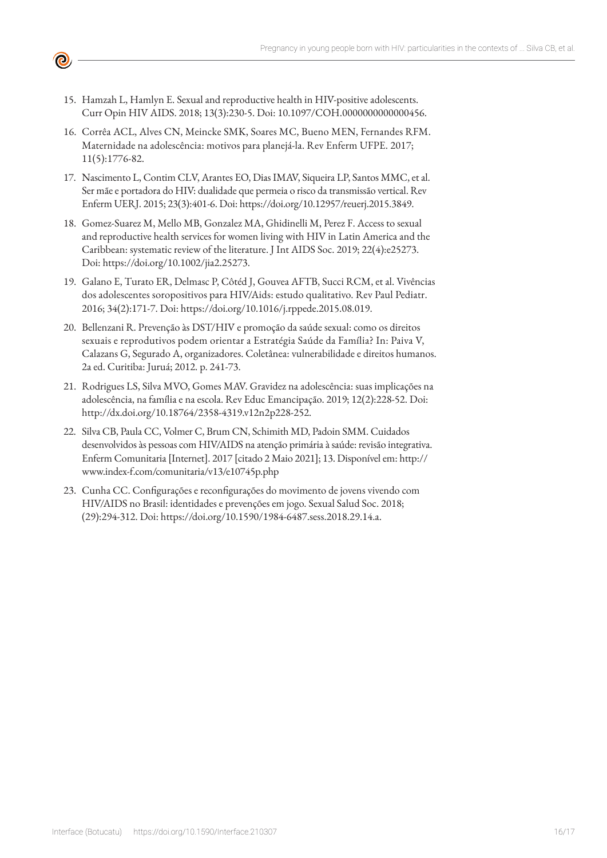15. Hamzah L, Hamlyn E. Sexual and reproductive health in HIV-positive adolescents. Curr Opin HIV AIDS. 2018; 13(3):230-5. Doi: 10.1097/COH.0000000000000456.

 $\mathbf{e}$ 

- 16. Corrêa ACL, Alves CN, Meincke SMK, Soares MC, Bueno MEN, Fernandes RFM. Maternidade na adolescência: motivos para planejá-la. Rev Enferm UFPE. 2017; 11(5):1776-82.
- 17. Nascimento L, Contim CLV, Arantes EO, Dias IMAV, Siqueira LP, Santos MMC, et al. Ser mãe e portadora do HIV: dualidade que permeia o risco da transmissão vertical. Rev Enferm UERJ. 2015; 23(3):401-6. Doi: https://doi.org/10.12957/reuerj.2015.3849.
- 18. Gomez-Suarez M, Mello MB, Gonzalez MA, Ghidinelli M, Perez F. Access to sexual and reproductive health services for women living with HIV in Latin America and the Caribbean: systematic review of the literature. J Int AIDS Soc. 2019; 22(4):e25273. Doi: https://doi.org/10.1002/jia2.25273.
- 19. Galano E, Turato ER, Delmasc P, Côtéd J, Gouvea AFTB, Succi RCM, et al. Vivências dos adolescentes soropositivos para HIV/Aids: estudo qualitativo. Rev Paul Pediatr. 2016; 34(2):171-7. Doi: https://doi.org/10.1016/j.rppede.2015.08.019.
- 20. Bellenzani R. Prevenção às DST/HIV e promoção da saúde sexual: como os direitos sexuais e reprodutivos podem orientar a Estratégia Saúde da Família? In: Paiva V, Calazans G, Segurado A, organizadores. Coletânea: vulnerabilidade e direitos humanos. 2a ed. Curitiba: Juruá; 2012. p. 241-73.
- 21. Rodrigues LS, Silva MVO, Gomes MAV. Gravidez na adolescência: suas implicações na adolescência, na família e na escola. Rev Educ Emancipação. 2019; 12(2):228-52. Doi: http://dx.doi.org/10.18764/2358-4319.v12n2p228-252.
- 22. Silva CB, Paula CC, Volmer C, Brum CN, Schimith MD, Padoin SMM. Cuidados desenvolvidos às pessoas com HIV/AIDS na atenção primária à saúde: revisão integrativa. Enferm Comunitaria [Internet]. 2017 [citado 2 Maio 2021]; 13. Disponível em: http:// www.index-f.com/comunitaria/v13/e10745p.php
- 23. Cunha CC. Configurações e reconfigurações do movimento de jovens vivendo com HIV/AIDS no Brasil: identidades e prevenções em jogo. Sexual Salud Soc. 2018; (29):294-312. Doi: https://doi.org/10.1590/1984-6487.sess.2018.29.14.a.